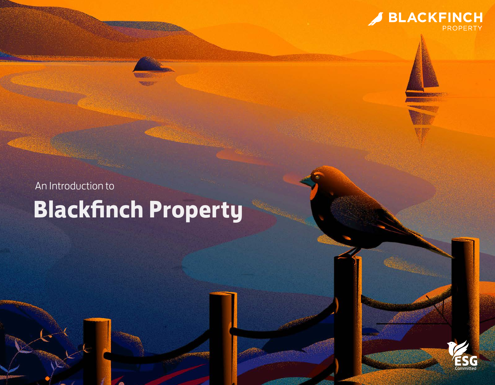

# An Introduction to **Blackfinch Property**

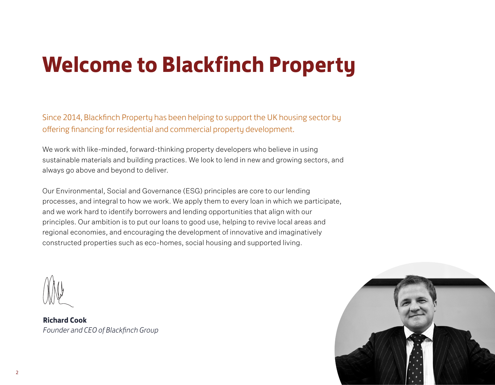# **Welcome to Blackfinch Property**

Since 2014, Blackfinch Property has been helping to support the UK housing sector by offering financing for residential and commercial property development.

We work with like-minded, forward-thinking property developers who believe in using sustainable materials and building practices. We look to lend in new and growing sectors, and always go above and beyond to deliver.

Our Environmental, Social and Governance (ESG) principles are core to our lending processes, and integral to how we work. We apply them to every loan in which we participate, and we work hard to identify borrowers and lending opportunities that align with our principles. Our ambition is to put our loans to good use, helping to revive local areas and regional economies, and encouraging the development of innovative and imaginatively constructed properties such as eco-homes, social housing and supported living.



**Richard Cook**  *Founder and CEO of Blackfinch Group*

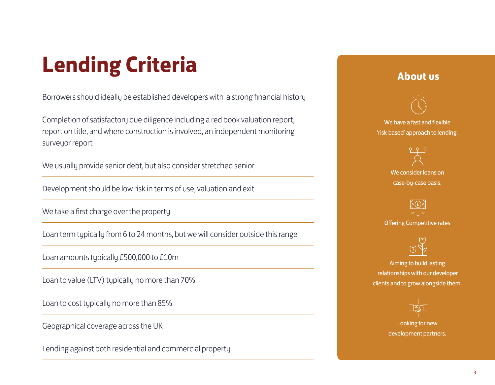# **Lending Criteria**

Borrowers should ideally be established developers with a strong financial history

Completion of satisfactory due diligence including a red book valuation report, report on title, and where construction is involved, an independent monitoring surveyor report

We usually provide senior debt, but also consider stretched senior

Development should be low risk in terms of use, valuation and exit

We take a first charge over the property

Loan term typically from 6 to 24 months, but we will consider outside this range

Loan amounts typically £500,000 to £10m

Loan to value (LTV) typically no more than 70%

Loan to cost typically no more than 85%

Geographical coverage across the UK

Lending against both residential and commercial property

### **About us**



We consider loans on case-by-case basis.

 $\circ$   $\left( f\right)$   $\circ$ Offering Competitive rates



Aiming to build lasting relationships with our developer clients and to grow alongside them.



Looking for new development partners.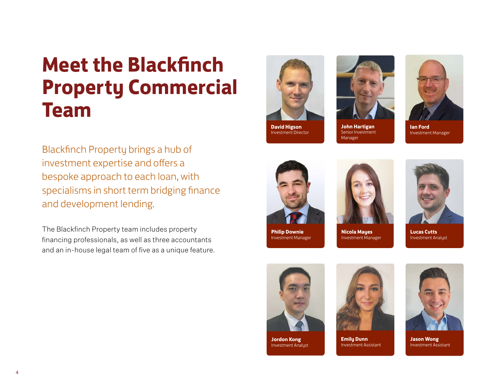# **Meet the Blackfinch Property Commercial Team**

Blackfinch Property brings a hub of investment expertise and offers a bespoke approach to each loan, with specialisms in short term bridging finance and development lending.

The Blackfinch Property team includes property financing professionals, as well as three accountants and an in-house legal team of five as a unique feature.







**John Hartigan** Senior Investment Manager



**Ian Ford** Investment Manager



**Philip Downie** Investment Manager



**Nicola Mayes** Investment Manager



**Lucas Cutts** Investment Analyst



**Jordon Kong** Investment Analyst



**Emily Dunn** Investment Assistant



**Jason Wong** Investment Assistant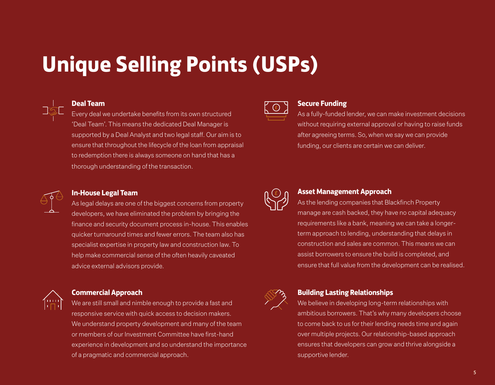# **Unique Selling Points (USPs)**



#### **Deal Team**

Every deal we undertake benefits from its own structured 'Deal Team'. This means the dedicated Deal Manager is supported by a Deal Analyst and two legal staff. Our aim is to ensure that throughout the lifecycle of the loan from appraisal to redemption there is always someone on hand that has a thorough understanding of the transaction.



#### **Secure Funding**

As a fully-funded lender, we can make investment decisions without requiring external approval or having to raise funds after agreeing terms. So, when we say we can provide funding, our clients are certain we can deliver.



#### **Asset Management Approach**

As the lending companies that Blackfinch Property manage are cash backed, they have no capital adequacy requirements like a bank, meaning we can take a longerterm approach to lending, understanding that delays in construction and sales are common. This means we can assist borrowers to ensure the build is completed, and ensure that full value from the development can be realised.



#### **Building Lasting Relationships**

We believe in developing long-term relationships with ambitious borrowers. That's why many developers choose to come back to us for their lending needs time and again over multiple projects. Our relationship-based approach ensures that developers can grow and thrive alongside a supportive lender.



#### **In-House Legal Team**

As legal delays are one of the biggest concerns from property developers, we have eliminated the problem by bringing the finance and security document process in-house. This enables quicker turnaround times and fewer errors. The team also has specialist expertise in property law and construction law. To help make commercial sense of the often heavily caveated advice external advisors provide.



#### **Commercial Approach**

We are still small and nimble enough to provide a fast and responsive service with quick access to decision makers. We understand property development and many of the team or members of our Investment Committee have first-hand experience in development and so understand the importance of a pragmatic and commercial approach.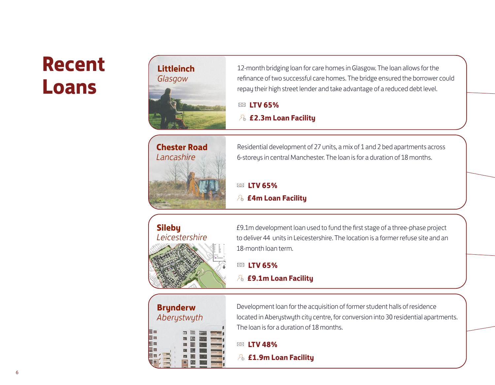### **Recent Loans**



12-month bridging loan for care homes in Glasgow. The loan allows for the refinance of two successful care homes. The bridge ensured the borrower could repay their high street lender and take advantage of a reduced debt level.

#### **LTV 65%**

**£2.3m Loan Facility**



Residential development of 27 units, a mix of 1 and 2 bed apartments across 6-storeys in central Manchester. The loan is for a duration of 18 months.

### **LTV 65%**

#### **£4m Loan Facility**

### **Sileby** *Leicestershire*



£9.1m development loan used to fund the first stage of a three-phase project to deliver 44 units in Leicestershire. The location is a former refuse site and an 18-month loan term.

### **LTV 65%**

#### **£9.1m Loan Facility**

# **Brynderw** *Aberystwyth*

Development loan for the acquisition of former student halls of residence located in Aberystwyth city centre, for conversion into 30 residential apartments. The loan is for a duration of 18 months.

#### **LTV 48%**

**£1.9m Loan Facility**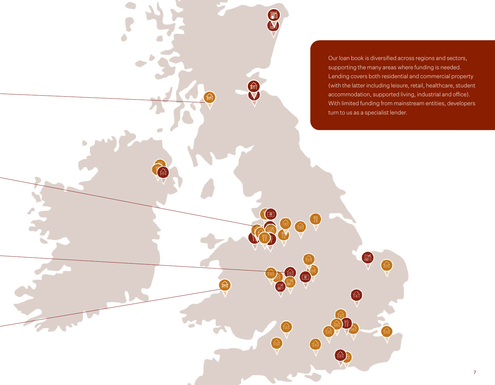Our loan book is diversified across regions and sectors, supporting the many areas where funding is needed. Lending covers both residential and commercial property (with the latter including leisure, retail, healthcare, student accommodation, supported living, industrial and office). With limited funding from mainstream entities, developers turn to us as a specialist lender.

m

O

 $\bigcirc$ 

ö